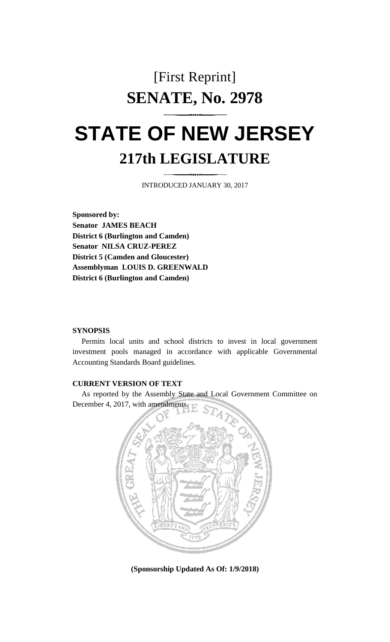## [First Reprint] **SENATE, No. 2978**

# **STATE OF NEW JERSEY 217th LEGISLATURE**

INTRODUCED JANUARY 30, 2017

**Sponsored by: Senator JAMES BEACH District 6 (Burlington and Camden) Senator NILSA CRUZ-PEREZ District 5 (Camden and Gloucester) Assemblyman LOUIS D. GREENWALD District 6 (Burlington and Camden)**

#### **SYNOPSIS**

Permits local units and school districts to invest in local government investment pools managed in accordance with applicable Governmental Accounting Standards Board guidelines.

#### **CURRENT VERSION OF TEXT**

As reported by the Assembly State and Local Government Committee on December 4, 2017, with amendments.



**(Sponsorship Updated As Of: 1/9/2018)**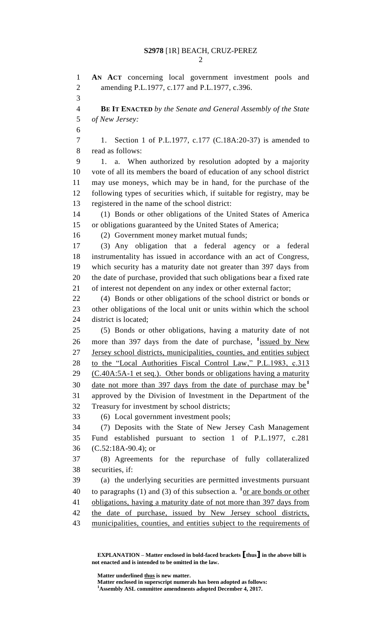**AN ACT** concerning local government investment pools and amending P.L.1977, c.177 and P.L.1977, c.396. **BE IT ENACTED** *by the Senate and General Assembly of the State of New Jersey:* 1. Section 1 of P.L.1977, c.177 (C.18A:20-37) is amended to read as follows: 1. a. When authorized by resolution adopted by a majority vote of all its members the board of education of any school district may use moneys, which may be in hand, for the purchase of the following types of securities which, if suitable for registry, may be registered in the name of the school district: (1) Bonds or other obligations of the United States of America or obligations guaranteed by the United States of America; (2) Government money market mutual funds; (3) Any obligation that a federal agency or a federal instrumentality has issued in accordance with an act of Congress, which security has a maturity date not greater than 397 days from the date of purchase, provided that such obligations bear a fixed rate of interest not dependent on any index or other external factor; (4) Bonds or other obligations of the school district or bonds or other obligations of the local unit or units within which the school district is located; (5) Bonds or other obligations, having a maturity date of not 26 more than 397 days from the date of purchase, <sup>1</sup> issued by New Jersey school districts, municipalities, counties, and entities subject 28 to the "Local Authorities Fiscal Control Law," P.L.1983, c.313 (C.40A:5A-1 et seq.). Other bonds or obligations having a maturity date not more than 397 days from the date of purchase may be**<sup>1</sup>** approved by the Division of Investment in the Department of the Treasury for investment by school districts; (6) Local government investment pools; (7) Deposits with the State of New Jersey Cash Management Fund established pursuant to section 1 of P.L.1977, c.281 (C.52:18A-90.4); or (8) Agreements for the repurchase of fully collateralized securities, if: (a) the underlying securities are permitted investments pursuant 40 to paragraphs (1) and (3) of this subsection a. <sup>1</sup> or are bonds or other obligations, having a maturity date of not more than 397 days from the date of purchase, issued by New Jersey school districts, 43 municipalities, counties, and entities subject to the requirements of

**EXPLANATION – Matter enclosed in bold-faced brackets [thus] in the above bill is not enacted and is intended to be omitted in the law.**

**Matter underlined thus is new matter.**

**Matter enclosed in superscript numerals has been adopted as follows:**

**Assembly ASL committee amendments adopted December 4, 2017.**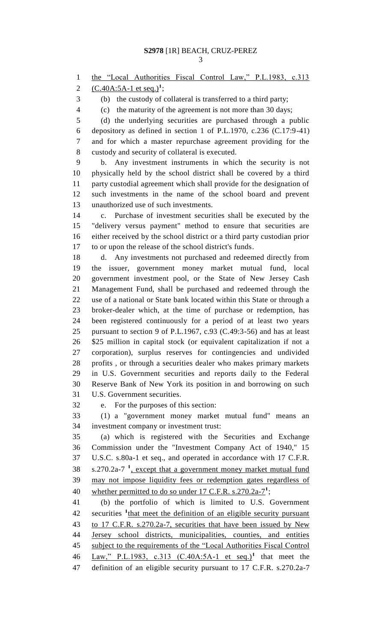1 the "Local Authorities Fiscal Control Law," P.L.1983, c.313

2 (C.40A:5A-1 et seq.)<sup>1</sup>;

(b) the custody of collateral is transferred to a third party;

(c) the maturity of the agreement is not more than 30 days;

 (d) the underlying securities are purchased through a public depository as defined in section 1 of P.L.1970, c.236 (C.17:9-41) and for which a master repurchase agreement providing for the custody and security of collateral is executed.

 b. Any investment instruments in which the security is not physically held by the school district shall be covered by a third party custodial agreement which shall provide for the designation of such investments in the name of the school board and prevent unauthorized use of such investments.

 c. Purchase of investment securities shall be executed by the "delivery versus payment" method to ensure that securities are either received by the school district or a third party custodian prior to or upon the release of the school district's funds.

 d. Any investments not purchased and redeemed directly from the issuer, government money market mutual fund, local government investment pool, or the State of New Jersey Cash Management Fund, shall be purchased and redeemed through the use of a national or State bank located within this State or through a broker-dealer which, at the time of purchase or redemption, has been registered continuously for a period of at least two years pursuant to section 9 of P.L.1967, c.93 (C.49:3-56) and has at least \$25 million in capital stock (or equivalent capitalization if not a corporation), surplus reserves for contingencies and undivided profits , or through a securities dealer who makes primary markets in U.S. Government securities and reports daily to the Federal Reserve Bank of New York its position in and borrowing on such U.S. Government securities.

e. For the purposes of this section:

 (1) a "government money market mutual fund" means an investment company or investment trust:

 (a) which is registered with the Securities and Exchange Commission under the "Investment Company Act of 1940," 15 U.S.C. s.80a-1 et seq., and operated in accordance with 17 C.F.R. 38 s.270.2a-7<sup>1</sup>, except that a government money market mutual fund may not impose liquidity fees or redemption gates regardless of 40 whether permitted to do so under 17 C.F.R. s.270.2a-7<sup>1</sup>;

 (b) the portfolio of which is limited to U.S. Government 42 securities <sup>1</sup> that meet the definition of an eligible security pursuant to 17 C.F.R. s.270.2a-7, securities that have been issued by New Jersey school districts, municipalities, counties, and entities subject to the requirements of the "Local Authorities Fiscal Control 46 Law," P.L.1983, c.313 (C.40A:5A-1 et seq.)<sup>1</sup> that meet the definition of an eligible security pursuant to 17 C.F.R. s.270.2a-7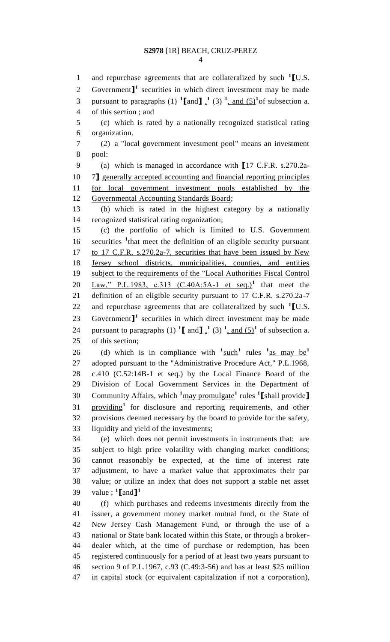1 and repurchase agreements that are collateralized by such <sup>1</sup>[U.S. 2 Government $\mathbf{I}^1$  securities in which direct investment may be made 3 pursuant to paragraphs (1)  $\text{1}\text{[and}\text{]}$ ,  $\text{1}\text{ (3)}$   $\text{1}\text{, and (5)}$  of subsection a. of this section ; and (c) which is rated by a nationally recognized statistical rating organization. (2) a "local government investment pool" means an investment pool: (a) which is managed in accordance with **[**17 C.F.R. s.270.2a- 7**]** generally accepted accounting and financial reporting principles for local government investment pools established by the Governmental Accounting Standards Board; (b) which is rated in the highest category by a nationally recognized statistical rating organization; (c) the portfolio of which is limited to U.S. Government 16 securities <sup>1</sup>that meet the definition of an eligible security pursuant to 17 C.F.R. s.270.2a-7, securities that have been issued by New Jersey school districts, municipalities, counties, and entities subject to the requirements of the "Local Authorities Fiscal Control 20 Law," P.L.1983, c.313 (C.40A:5A-1 et seq.)<sup>1</sup> that meet the definition of an eligible security pursuant to 17 C.F.R. s.270.2a-7 and repurchase agreements that are collateralized by such **<sup>1</sup> [**U.S. Government<sup>1</sup> securities in which direct investment may be made 24 pursuant to paragraphs  $(1)$   $\left[\text{I} \text{ and } \text{I}\right]$ ,  $(3)$   $\left[\text{ and } (5)\right]$  of subsection a. of this section; (d) which is in compliance with  $\frac{1}{2}$  such<sup>1</sup> rules  $\frac{1}{2}$  as may be<sup>1</sup> adopted pursuant to the "Administrative Procedure Act," P.L.1968, c.410 (C.52:14B-1 et seq.) by the Local Finance Board of the Division of Local Government Services in the Department of Community Affairs, which **<sup>1</sup>**may promulgate**<sup>1</sup>** rules **<sup>1</sup> [**shall provide**]** 31 providing<sup>1</sup> for disclosure and reporting requirements, and other provisions deemed necessary by the board to provide for the safety, liquidity and yield of the investments; (e) which does not permit investments in instruments that: are subject to high price volatility with changing market conditions; cannot reasonably be expected, at the time of interest rate adjustment, to have a market value that approximates their par value; or utilize an index that does not support a stable net asset value ; **<sup>1</sup> [**and**] 1** (f) which purchases and redeems investments directly from the issuer, a government money market mutual fund, or the State of New Jersey Cash Management Fund, or through the use of a national or State bank located within this State, or through a broker- dealer which, at the time of purchase or redemption, has been registered continuously for a period of at least two years pursuant to section 9 of P.L.1967, c.93 (C.49:3-56) and has at least \$25 million in capital stock (or equivalent capitalization if not a corporation),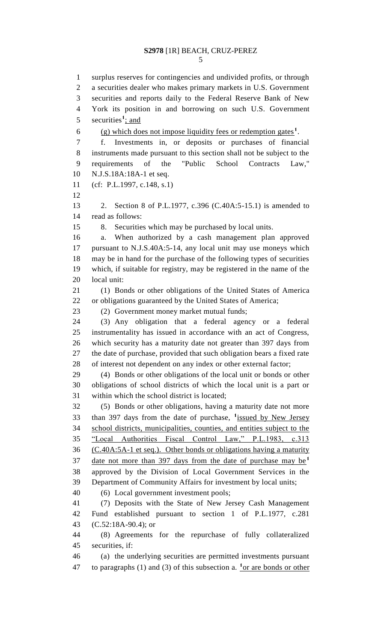surplus reserves for contingencies and undivided profits, or through a securities dealer who makes primary markets in U.S. Government securities and reports daily to the Federal Reserve Bank of New York its position in and borrowing on such U.S. Government 5 securities<sup>1</sup>; and 6 (g) which does not impose liquidity fees or redemption gates<sup>1</sup>. f. Investments in, or deposits or purchases of financial instruments made pursuant to this section shall not be subject to the requirements of the "Public School Contracts Law," N.J.S.18A:18A-1 et seq. (cf: P.L.1997, c.148, s.1) 2. Section 8 of P.L.1977, c.396 (C.40A:5-15.1) is amended to read as follows: 8. Securities which may be purchased by local units. a. When authorized by a cash management plan approved pursuant to N.J.S.40A:5-14, any local unit may use moneys which may be in hand for the purchase of the following types of securities which, if suitable for registry, may be registered in the name of the local unit: (1) Bonds or other obligations of the United States of America or obligations guaranteed by the United States of America; (2) Government money market mutual funds; (3) Any obligation that a federal agency or a federal instrumentality has issued in accordance with an act of Congress, which security has a maturity date not greater than 397 days from the date of purchase, provided that such obligation bears a fixed rate of interest not dependent on any index or other external factor; (4) Bonds or other obligations of the local unit or bonds or other obligations of school districts of which the local unit is a part or within which the school district is located; (5) Bonds or other obligations, having a maturity date not more 33 than 397 days from the date of purchase, <sup>1</sup> issued by New Jersey school districts, municipalities, counties, and entities subject to the "Local Authorities Fiscal Control Law," P.L.1983, c.313 (C.40A:5A-1 et seq.). Other bonds or obligations having a maturity date not more than 397 days from the date of purchase may be**<sup>1</sup>** approved by the Division of Local Government Services in the Department of Community Affairs for investment by local units; (6) Local government investment pools; (7) Deposits with the State of New Jersey Cash Management Fund established pursuant to section 1 of P.L.1977, c.281 (C.52:18A-90.4); or (8) Agreements for the repurchase of fully collateralized securities, if: (a) the underlying securities are permitted investments pursuant 47 to paragraphs (1) and (3) of this subsection a.  $\frac{1}{x}$  or are bonds or other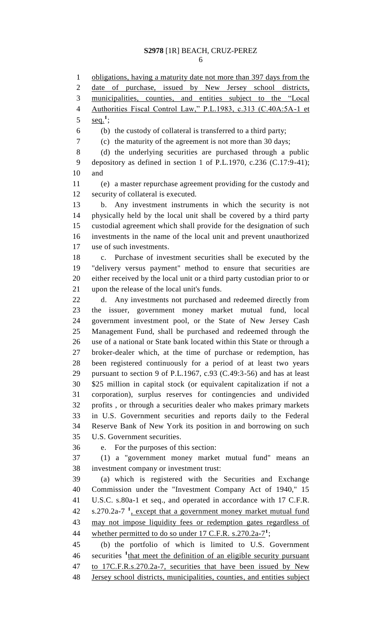1 obligations, having a maturity date not more than 397 days from the date of purchase, issued by New Jersey school districts, municipalities, counties, and entities subject to the "Local Authorities Fiscal Control Law," P.L.1983, c.313 (C.40A:5A-1 et  $\text{seq.}^1$ ; (b) the custody of collateral is transferred to a third party; (c) the maturity of the agreement is not more than 30 days; (d) the underlying securities are purchased through a public depository as defined in section 1 of P.L.1970, c.236 (C.17:9-41); and (e) a master repurchase agreement providing for the custody and security of collateral is executed. b. Any investment instruments in which the security is not physically held by the local unit shall be covered by a third party custodial agreement which shall provide for the designation of such investments in the name of the local unit and prevent unauthorized use of such investments. c. Purchase of investment securities shall be executed by the "delivery versus payment" method to ensure that securities are either received by the local unit or a third party custodian prior to or upon the release of the local unit's funds. d. Any investments not purchased and redeemed directly from the issuer, government money market mutual fund, local government investment pool, or the State of New Jersey Cash Management Fund, shall be purchased and redeemed through the use of a national or State bank located within this State or through a broker-dealer which, at the time of purchase or redemption, has been registered continuously for a period of at least two years pursuant to section 9 of P.L.1967, c.93 (C.49:3-56) and has at least \$25 million in capital stock (or equivalent capitalization if not a corporation), surplus reserves for contingencies and undivided profits , or through a securities dealer who makes primary markets in U.S. Government securities and reports daily to the Federal Reserve Bank of New York its position in and borrowing on such U.S. Government securities. e. For the purposes of this section: (1) a "government money market mutual fund" means an investment company or investment trust: (a) which is registered with the Securities and Exchange Commission under the "Investment Company Act of 1940," 15 U.S.C. s.80a-1 et seq., and operated in accordance with 17 C.F.R. 42 s.270.2a-7<sup>1</sup>, except that a government money market mutual fund may not impose liquidity fees or redemption gates regardless of 44 whether permitted to do so under  $17 \text{ C.F.R. s.} 270.2a - 7^1$ ; (b) the portfolio of which is limited to U.S. Government 46 securities <sup>1</sup> that meet the definition of an eligible security pursuant to 17C.F.R.s.270.2a-7, securities that have been issued by New Jersey school districts, municipalities, counties, and entities subject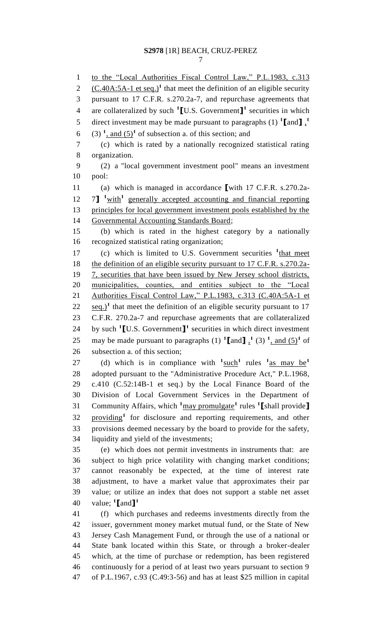to the "Local Authorities Fiscal Control Law," P.L.1983, c.313  $(C.40A:5A-1$  et seq.)<sup>1</sup> that meet the definition of an eligible security pursuant to 17 C.F.R. s.270.2a-7, and repurchase agreements that are collateralized by such **<sup>1</sup> [**U.S. Government**] 1** securities in which direct investment may be made pursuant to paragraphs (1) **<sup>1</sup> [**and**]** , **1** 6 (3)  $\frac{1}{2}$ , and  $(5)^1$  of subsection a. of this section; and (c) which is rated by a nationally recognized statistical rating organization. (2) a "local government investment pool" means an investment pool: (a) which is managed in accordance **[**with 17 C.F.R. s.270.2a-12 7] <sup>1</sup> with<sup>1</sup> generally accepted accounting and financial reporting principles for local government investment pools established by the Governmental Accounting Standards Board; (b) which is rated in the highest category by a nationally recognized statistical rating organization; 17 (c) which is limited to U.S. Government securities <sup>1</sup>that meet 18 the definition of an eligible security pursuant to 17 C.F.R. s.270.2a- 7, securities that have been issued by New Jersey school districts, 20 municipalities, counties, and entities subject to the "Local 21 Authorities Fiscal Control Law," P.L.1983, c.313 (C.40A:5A-1 et  $\frac{22}{10}$  seq.)<sup>1</sup> that meet the definition of an eligible security pursuant to 17 C.F.R. 270.2a-7 and repurchase agreements that are collateralized 24 by such  $\textbf{1}$  **[U.S.** Government]<sup>1</sup> securities in which direct investment 25 may be made pursuant to paragraphs  $(1)$   $\textbf{1}$  and  $\textbf{1}$ ,  $(3)$   $\textbf{1}$ , and  $(5)$  of subsection a. of this section; (d) which is in compliance with  $\frac{1}{2}$  such<sup>1</sup> rules  $\frac{1}{2}$  as may be<sup>1</sup> adopted pursuant to the "Administrative Procedure Act," P.L.1968, c.410 (C.52:14B-1 et seq.) by the Local Finance Board of the Division of Local Government Services in the Department of Community Affairs, which **<sup>1</sup>**may promulgate**<sup>1</sup>** rules **<sup>1</sup> [**shall provide**]** 32 providing<sup>1</sup> for disclosure and reporting requirements, and other provisions deemed necessary by the board to provide for the safety, liquidity and yield of the investments; (e) which does not permit investments in instruments that: are subject to high price volatility with changing market conditions; cannot reasonably be expected, at the time of interest rate adjustment, to have a market value that approximates their par value; or utilize an index that does not support a stable net asset value; **<sup>1</sup> [**and**] 1** (f) which purchases and redeems investments directly from the issuer, government money market mutual fund, or the State of New Jersey Cash Management Fund, or through the use of a national or State bank located within this State, or through a broker-dealer which, at the time of purchase or redemption, has been registered continuously for a period of at least two years pursuant to section 9 of P.L.1967, c.93 (C.49:3-56) and has at least \$25 million in capital